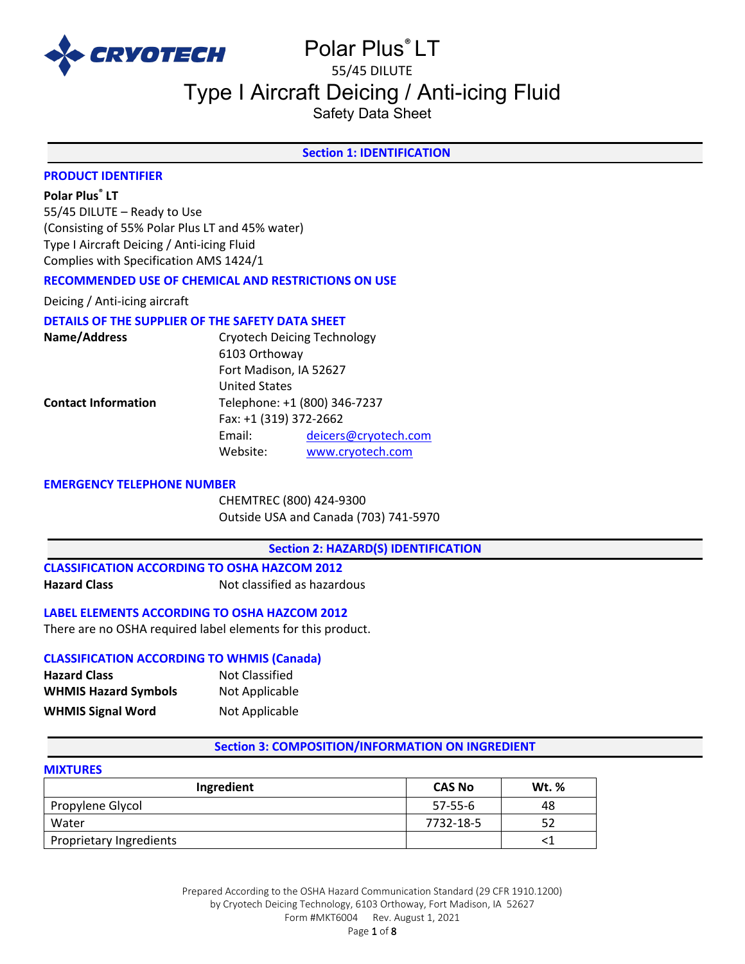

# Polar Plus® LT 55/45 DILUTE

# Type I Aircraft Deicing / Anti-icing Fluid

Safety Data Sheet

# **Section 1: IDENTIFICATION**

# **PRODUCT IDENTIFIER**

### **Polar Plus® LT**

55/45 DILUTE – Ready to Use (Consisting of 55% Polar Plus LT and 45% water) Type I Aircraft Deicing / Anti-icing Fluid Complies with Specification AMS 1424/1

# **RECOMMENDED USE OF CHEMICAL AND RESTRICTIONS ON USE**

Deicing / Anti-icing aircraft

# **DETAILS OF THE SUPPLIER OF THE SAFETY DATA SHEET**

| <b>Cryotech Deicing Technology</b><br>Name/Address |                              |                      |
|----------------------------------------------------|------------------------------|----------------------|
|                                                    | 6103 Orthoway                |                      |
|                                                    | Fort Madison, IA 52627       |                      |
|                                                    | <b>United States</b>         |                      |
| <b>Contact Information</b>                         | Telephone: +1 (800) 346-7237 |                      |
|                                                    | Fax: +1 (319) 372-2662       |                      |
|                                                    | Email:                       | deicers@cryotech.com |
|                                                    | Website:                     | www.cryotech.com     |
|                                                    |                              |                      |

#### **EMERGENCY TELEPHONE NUMBER**

CHEMTREC (800) 424-9300 Outside USA and Canada (703) 741-5970

#### **Section 2: HAZARD(S) IDENTIFICATION**

**CLASSIFICATION ACCORDING TO OSHA HAZCOM 2012 Hazard Class Not classified as hazardous** 

# **LABEL ELEMENTS ACCORDING TO OSHA HAZCOM 2012**

There are no OSHA required label elements for this product.

#### **CLASSIFICATION ACCORDING TO WHMIS (Canada) Hazard Class** Not Classified

| nazaru Ciass                | <b>NUL CRESSILIEU</b> |
|-----------------------------|-----------------------|
| <b>WHMIS Hazard Symbols</b> | Not Applicable        |
| <b>WHMIS Signal Word</b>    | Not Applicable        |

# **Section 3: COMPOSITION/INFORMATION ON INGREDIENT**

# **MIXTURES**

| Ingredient                     | <b>CAS No</b> | Wt. % |
|--------------------------------|---------------|-------|
| Propylene Glycol               | 57-55-6       | 48    |
| Water                          | 7732-18-5     | 52    |
| <b>Proprietary Ingredients</b> |               |       |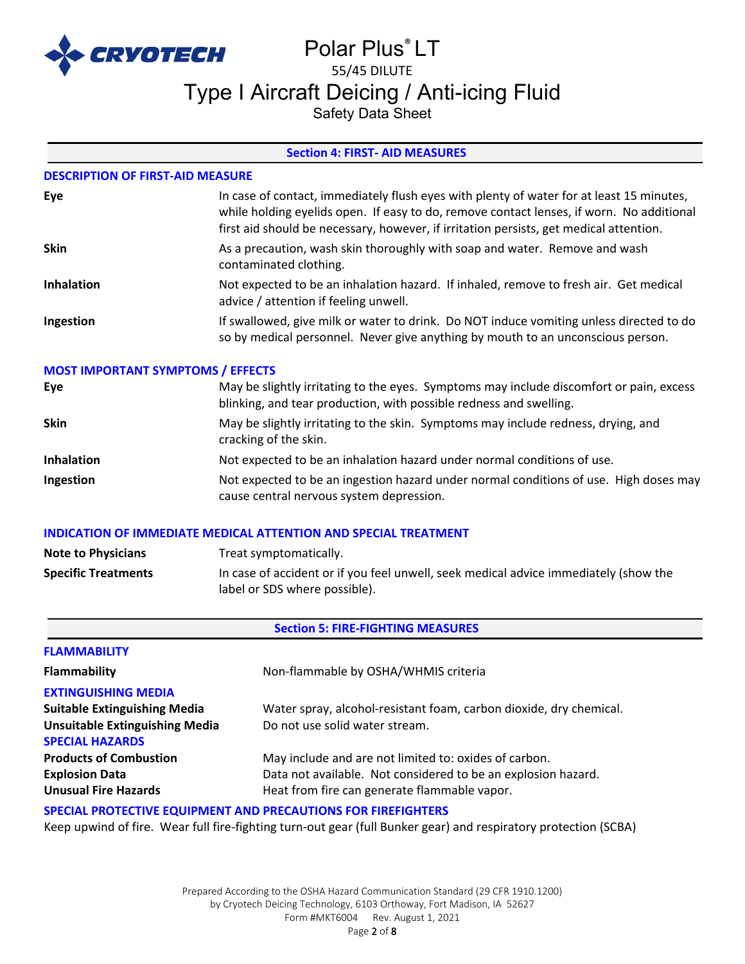

# Polar Plus® LT 55/45 DILUTE Type I Aircraft Deicing / Anti-icing Fluid

Safety Data Sheet

# **Section 4: FIRST- AID MEASURES**

### **DESCRIPTION OF FIRST-AID MEASURE**

| Eye               | In case of contact, immediately flush eyes with plenty of water for at least 15 minutes,<br>while holding eyelids open. If easy to do, remove contact lenses, if worn. No additional<br>first aid should be necessary, however, if irritation persists, get medical attention. |
|-------------------|--------------------------------------------------------------------------------------------------------------------------------------------------------------------------------------------------------------------------------------------------------------------------------|
| <b>Skin</b>       | As a precaution, wash skin thoroughly with soap and water. Remove and wash<br>contaminated clothing.                                                                                                                                                                           |
| <b>Inhalation</b> | Not expected to be an inhalation hazard. If inhaled, remove to fresh air. Get medical<br>advice / attention if feeling unwell.                                                                                                                                                 |
| Ingestion         | If swallowed, give milk or water to drink. Do NOT induce vomiting unless directed to do<br>so by medical personnel. Never give anything by mouth to an unconscious person.                                                                                                     |

#### **MOST IMPORTANT SYMPTOMS / EFFECTS**

| Eye               | May be slightly irritating to the eyes. Symptoms may include discomfort or pain, excess<br>blinking, and tear production, with possible redness and swelling. |
|-------------------|---------------------------------------------------------------------------------------------------------------------------------------------------------------|
| <b>Skin</b>       | May be slightly irritating to the skin. Symptoms may include redness, drying, and<br>cracking of the skin.                                                    |
| <b>Inhalation</b> | Not expected to be an inhalation hazard under normal conditions of use.                                                                                       |
| Ingestion         | Not expected to be an ingestion hazard under normal conditions of use. High doses may<br>cause central nervous system depression.                             |

# **INDICATION OF IMMEDIATE MEDICAL ATTENTION AND SPECIAL TREATMENT**

| <b>Note to Physicians</b>  | Treat symptomatically.                                                               |
|----------------------------|--------------------------------------------------------------------------------------|
| <b>Specific Treatments</b> | In case of accident or if you feel unwell, seek medical advice immediately (show the |
|                            | label or SDS where possible).                                                        |

#### **Section 5: FIRE-FIGHTING MEASURES**

| <b>FLAMMABILITY</b>                   |                                                                    |
|---------------------------------------|--------------------------------------------------------------------|
| <b>Flammability</b>                   | Non-flammable by OSHA/WHMIS criteria                               |
| <b>EXTINGUISHING MEDIA</b>            |                                                                    |
| <b>Suitable Extinguishing Media</b>   | Water spray, alcohol-resistant foam, carbon dioxide, dry chemical. |
| <b>Unsuitable Extinguishing Media</b> | Do not use solid water stream.                                     |
| <b>SPECIAL HAZARDS</b>                |                                                                    |
| <b>Products of Combustion</b>         | May include and are not limited to: oxides of carbon.              |
| <b>Explosion Data</b>                 | Data not available. Not considered to be an explosion hazard.      |
| <b>Unusual Fire Hazards</b>           | Heat from fire can generate flammable vapor.                       |

# **SPECIAL PROTECTIVE EQUIPMENT AND PRECAUTIONS FOR FIREFIGHTERS**

Keep upwind of fire. Wear full fire-fighting turn-out gear (full Bunker gear) and respiratory protection (SCBA)

Prepared According to the OSHA Hazard Communication Standard (29 CFR 1910.1200) by Cryotech Deicing Technology, 6103 Orthoway, Fort Madison, IA 52627 Form #MKT6004 Rev. August 1, 2021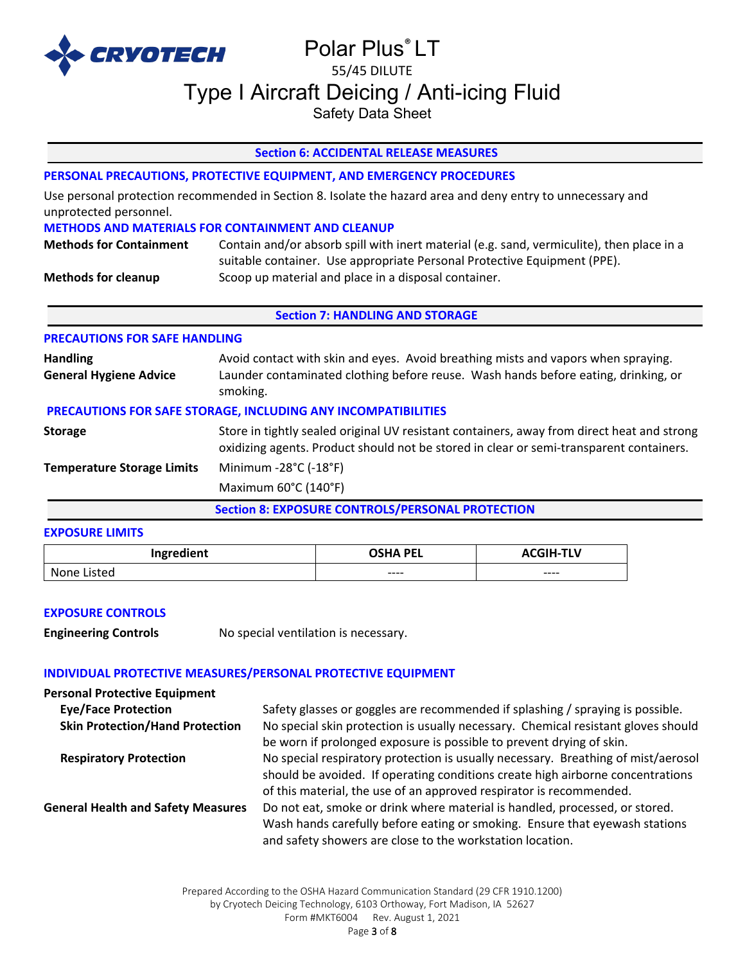

# Polar Plus® LT 55/45 DILUTE Type I Aircraft Deicing / Anti-icing Fluid

Safety Data Sheet

# **Section 6: ACCIDENTAL RELEASE MEASURES**

# **PERSONAL PRECAUTIONS, PROTECTIVE EQUIPMENT, AND EMERGENCY PROCEDURES**

Use personal protection recommended in Section 8. Isolate the hazard area and deny entry to unnecessary and unprotected personnel.

#### **METHODS AND MATERIALS FOR CONTAINMENT AND CLEANUP**

| <b>Methods for Containment</b> | Contain and/or absorb spill with inert material (e.g. sand, vermiculite), then place in a |
|--------------------------------|-------------------------------------------------------------------------------------------|
|                                | suitable container. Use appropriate Personal Protective Equipment (PPE).                  |
| <b>Methods for cleanup</b>     | Scoop up material and place in a disposal container.                                      |

#### **Section 7: HANDLING AND STORAGE**

# **PRECAUTIONS FOR SAFE HANDLING**

| <b>Handling</b><br><b>General Hygiene Advice</b>              | Avoid contact with skin and eyes. Avoid breathing mists and vapors when spraying.<br>Launder contaminated clothing before reuse. Wash hands before eating, drinking, or<br>smoking.   |  |  |
|---------------------------------------------------------------|---------------------------------------------------------------------------------------------------------------------------------------------------------------------------------------|--|--|
| PRECAUTIONS FOR SAFE STORAGE, INCLUDING ANY INCOMPATIBILITIES |                                                                                                                                                                                       |  |  |
| <b>Storage</b>                                                | Store in tightly sealed original UV resistant containers, away from direct heat and strong<br>oxidizing agents. Product should not be stored in clear or semi-transparent containers. |  |  |
| <b>Temperature Storage Limits</b>                             | Minimum -28°C (-18°F)                                                                                                                                                                 |  |  |
|                                                               | Maximum 60°C (140°F)                                                                                                                                                                  |  |  |

**Section 8: EXPOSURE CONTROLS/PERSONAL PROTECTION** 

#### **EXPOSURE LIMITS**

| Ingredient         | <b>OSHA PEL</b> | <b>SIH-TLV</b> |
|--------------------|-----------------|----------------|
| ictad<br>Non<br>nρ | $---$           | $--- -$        |

# **EXPOSURE CONTROLS**

**Engineering Controls** No special ventilation is necessary.

# **INDIVIDUAL PROTECTIVE MEASURES/PERSONAL PROTECTIVE EQUIPMENT**

| <b>Personal Protective Equipment</b>      |                                                                                                                                                                                                                                            |
|-------------------------------------------|--------------------------------------------------------------------------------------------------------------------------------------------------------------------------------------------------------------------------------------------|
| <b>Eye/Face Protection</b>                | Safety glasses or goggles are recommended if splashing / spraying is possible.                                                                                                                                                             |
| <b>Skin Protection/Hand Protection</b>    | No special skin protection is usually necessary. Chemical resistant gloves should<br>be worn if prolonged exposure is possible to prevent drying of skin.                                                                                  |
| <b>Respiratory Protection</b>             | No special respiratory protection is usually necessary. Breathing of mist/aerosol<br>should be avoided. If operating conditions create high airborne concentrations<br>of this material, the use of an approved respirator is recommended. |
| <b>General Health and Safety Measures</b> | Do not eat, smoke or drink where material is handled, processed, or stored.<br>Wash hands carefully before eating or smoking. Ensure that eyewash stations<br>and safety showers are close to the workstation location.                    |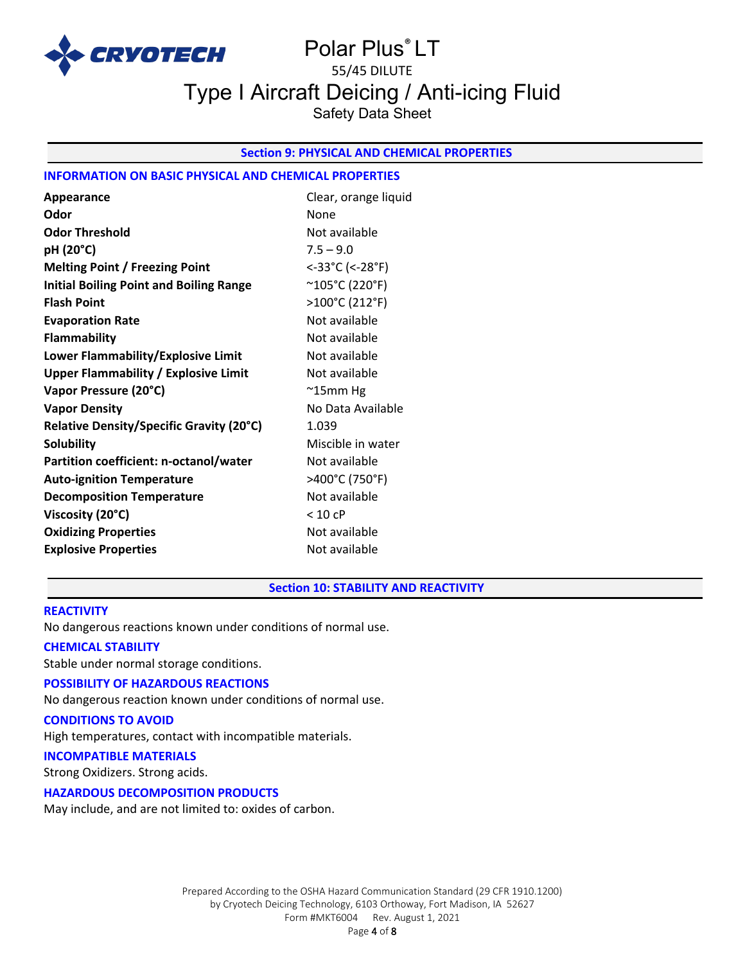

# Polar Plus® LT 55/45 DILUTE Type I Aircraft Deicing / Anti-icing Fluid Safety Data Sheet

# **Section 9: PHYSICAL AND CHEMICAL PROPERTIES**

# **INFORMATION ON BASIC PHYSICAL AND CHEMICAL PROPERTIES**

| Appearance                                     | Clear, orange liquid    |
|------------------------------------------------|-------------------------|
| Odor                                           | None                    |
| <b>Odor Threshold</b>                          | Not available           |
| pH (20°C)                                      | $7.5 - 9.0$             |
| <b>Melting Point / Freezing Point</b>          | <-33°C (<-28°F)         |
| <b>Initial Boiling Point and Boiling Range</b> | $^{\sim}$ 105°C (220°F) |
| <b>Flash Point</b>                             | >100°C (212°F)          |
| <b>Evaporation Rate</b>                        | Not available           |
| <b>Flammability</b>                            | Not available           |
| Lower Flammability/Explosive Limit             | Not available           |
| <b>Upper Flammability / Explosive Limit</b>    | Not available           |
| Vapor Pressure (20°C)                          | $^{\sim}$ 15mm Hg       |
| <b>Vapor Density</b>                           | No Data Available       |
| Relative Density/Specific Gravity (20°C)       | 1.039                   |
| <b>Solubility</b>                              | Miscible in water       |
| Partition coefficient: n-octanol/water         | Not available           |
| <b>Auto-ignition Temperature</b>               | >400°C (750°F)          |
| <b>Decomposition Temperature</b>               | Not available           |
| Viscosity (20°C)                               | < 10 cP                 |
| <b>Oxidizing Properties</b>                    | Not available           |
| <b>Explosive Properties</b>                    | Not available           |

#### **Section 10: STABILITY AND REACTIVITY**

### **REACTIVITY**

No dangerous reactions known under conditions of normal use.

#### **CHEMICAL STABILITY**

Stable under normal storage conditions.

# **POSSIBILITY OF HAZARDOUS REACTIONS**

No dangerous reaction known under conditions of normal use.

# **CONDITIONS TO AVOID**

High temperatures, contact with incompatible materials.

### **INCOMPATIBLE MATERIALS**

Strong Oxidizers. Strong acids.

#### **HAZARDOUS DECOMPOSITION PRODUCTS**

May include, and are not limited to: oxides of carbon.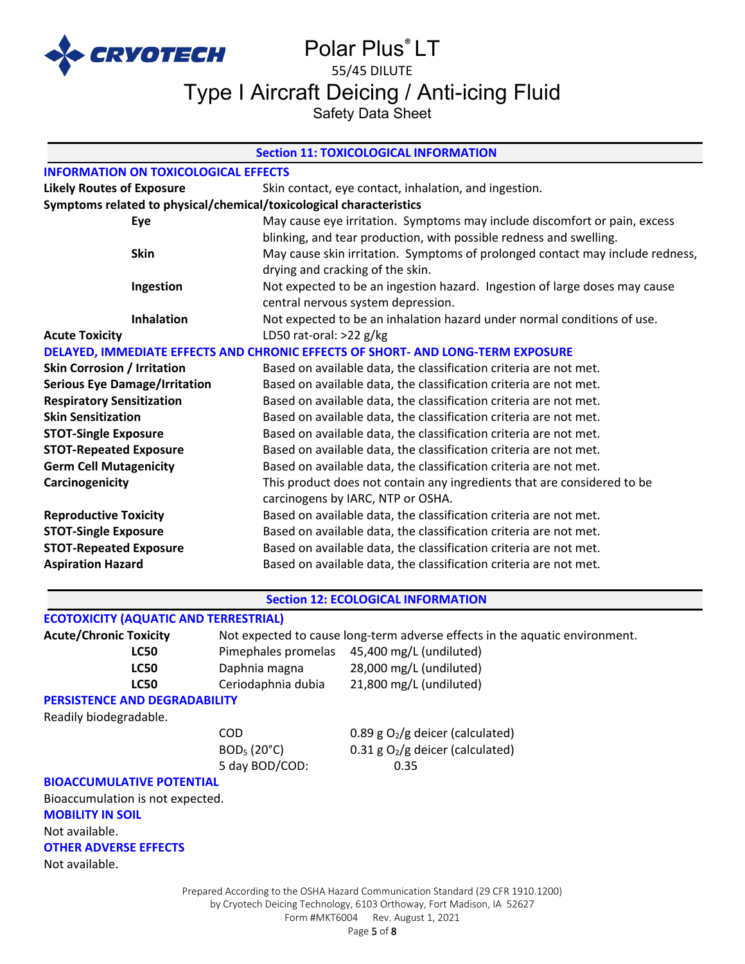

# Polar Plus® LT 55/45 DILUTE

Type I Aircraft Deicing / Anti-icing Fluid

Safety Data Sheet

| <b>Section 11: TOXICOLOGICAL INFORMATION</b>                        |                                                                                 |  |  |
|---------------------------------------------------------------------|---------------------------------------------------------------------------------|--|--|
| <b>INFORMATION ON TOXICOLOGICAL EFFECTS</b>                         |                                                                                 |  |  |
| <b>Likely Routes of Exposure</b>                                    | Skin contact, eye contact, inhalation, and ingestion.                           |  |  |
| Symptoms related to physical/chemical/toxicological characteristics |                                                                                 |  |  |
| Eye                                                                 | May cause eye irritation. Symptoms may include discomfort or pain, excess       |  |  |
|                                                                     | blinking, and tear production, with possible redness and swelling.              |  |  |
| <b>Skin</b>                                                         | May cause skin irritation. Symptoms of prolonged contact may include redness,   |  |  |
|                                                                     | drying and cracking of the skin.                                                |  |  |
| Ingestion                                                           | Not expected to be an ingestion hazard. Ingestion of large doses may cause      |  |  |
|                                                                     | central nervous system depression.                                              |  |  |
| <b>Inhalation</b>                                                   | Not expected to be an inhalation hazard under normal conditions of use.         |  |  |
| <b>Acute Toxicity</b>                                               | LD50 rat-oral: $>22$ g/kg                                                       |  |  |
|                                                                     | DELAYED, IMMEDIATE EFFECTS AND CHRONIC EFFECTS OF SHORT- AND LONG-TERM EXPOSURE |  |  |
| <b>Skin Corrosion / Irritation</b>                                  | Based on available data, the classification criteria are not met.               |  |  |
| <b>Serious Eye Damage/Irritation</b>                                | Based on available data, the classification criteria are not met.               |  |  |
| <b>Respiratory Sensitization</b>                                    | Based on available data, the classification criteria are not met.               |  |  |
| <b>Skin Sensitization</b>                                           | Based on available data, the classification criteria are not met.               |  |  |
| <b>STOT-Single Exposure</b>                                         | Based on available data, the classification criteria are not met.               |  |  |
| <b>STOT-Repeated Exposure</b>                                       | Based on available data, the classification criteria are not met.               |  |  |
| <b>Germ Cell Mutagenicity</b>                                       | Based on available data, the classification criteria are not met.               |  |  |
| Carcinogenicity                                                     | This product does not contain any ingredients that are considered to be         |  |  |
|                                                                     | carcinogens by IARC, NTP or OSHA.                                               |  |  |
| <b>Reproductive Toxicity</b>                                        | Based on available data, the classification criteria are not met.               |  |  |
| <b>STOT-Single Exposure</b>                                         | Based on available data, the classification criteria are not met.               |  |  |
| <b>STOT-Repeated Exposure</b>                                       | Based on available data, the classification criteria are not met.               |  |  |
| <b>Aspiration Hazard</b>                                            | Based on available data, the classification criteria are not met.               |  |  |
|                                                                     |                                                                                 |  |  |

# **Section 12: ECOLOGICAL INFORMATION**

# **ECOTOXICITY (AQUATIC AND TERRESTRIAL)**

| <b>Acute/Chronic Toxicity</b>        | Not expected to cause long-term adverse effects in the aquatic environment. |                         |
|--------------------------------------|-----------------------------------------------------------------------------|-------------------------|
| LC50                                 | Pimephales promelas                                                         | 45,400 mg/L (undiluted) |
| <b>LC50</b>                          | Daphnia magna                                                               | 28,000 mg/L (undiluted) |
| <b>LC50</b>                          | Ceriodaphnia dubia                                                          | 21,800 mg/L (undiluted) |
| <b>PERSISTENCE AND DEGRADABILITY</b> |                                                                             |                         |

Readily biodegradable.

5 day BOD/COD: 0.35

COD  $0.89 g O<sub>2</sub>/g$  deicer (calculated)  $BOD<sub>5</sub> (20<sup>o</sup>C)$  0.31 g O<sub>2</sub>/g deicer (calculated)

# **BIOACCUMULATIVE POTENTIAL**

Bioaccumulation is not expected. **MOBILITY IN SOIL** Not available. **OTHER ADVERSE EFFECTS**

Not available.

Prepared According to the OSHA Hazard Communication Standard (29 CFR 1910.1200) by Cryotech Deicing Technology, 6103 Orthoway, Fort Madison, IA 52627 Form #MKT6004 Rev. August 1, 2021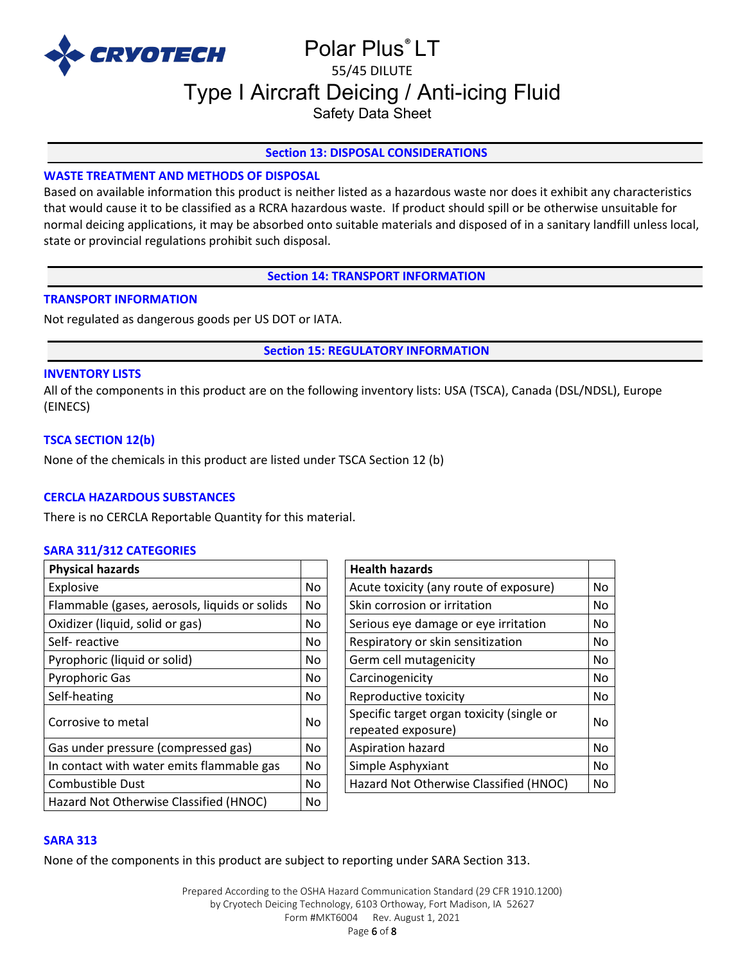

# Polar Plus® LT 55/45 DILUTE Type I Aircraft Deicing / Anti-icing Fluid

Safety Data Sheet

# **Section 13: DISPOSAL CONSIDERATIONS**

# **WASTE TREATMENT AND METHODS OF DISPOSAL**

Based on available information this product is neither listed as a hazardous waste nor does it exhibit any characteristics that would cause it to be classified as a RCRA hazardous waste. If product should spill or be otherwise unsuitable for normal deicing applications, it may be absorbed onto suitable materials and disposed of in a sanitary landfill unless local, state or provincial regulations prohibit such disposal.

**Section 14: TRANSPORT INFORMATION**

# **TRANSPORT INFORMATION**

Not regulated as dangerous goods per US DOT or IATA.

**Section 15: REGULATORY INFORMATION**

### **INVENTORY LISTS**

All of the components in this product are on the following inventory lists: USA (TSCA), Canada (DSL/NDSL), Europe (EINECS)

# **TSCA SECTION 12(b)**

None of the chemicals in this product are listed under TSCA Section 12 (b)

# **CERCLA HAZARDOUS SUBSTANCES**

There is no CERCLA Reportable Quantity for this material.

# **SARA 311/312 CATEGORIES**

| <b>Physical hazards</b>                       |           | <b>Health hazards</b>                                           |    |
|-----------------------------------------------|-----------|-----------------------------------------------------------------|----|
| Explosive                                     | No        | Acute toxicity (any route of exposure)                          | No |
| Flammable (gases, aerosols, liquids or solids | No.       | Skin corrosion or irritation                                    | No |
| Oxidizer (liquid, solid or gas)               | No        | Serious eye damage or eye irritation                            | No |
| Self-reactive                                 | No.       | Respiratory or skin sensitization                               | No |
| Pyrophoric (liquid or solid)                  | No.       | Germ cell mutagenicity                                          | No |
| <b>Pyrophoric Gas</b>                         | No.       | Carcinogenicity                                                 | No |
| Self-heating                                  | No.       | Reproductive toxicity                                           | No |
| Corrosive to metal                            | <b>No</b> | Specific target organ toxicity (single or<br>repeated exposure) | No |
| Gas under pressure (compressed gas)           | <b>No</b> | Aspiration hazard                                               | No |
| In contact with water emits flammable gas     | No.       | Simple Asphyxiant                                               | No |
| Combustible Dust                              | No.       | Hazard Not Otherwise Classified (HNOC)                          | No |
| Hazard Not Otherwise Classified (HNOC)        | No        |                                                                 |    |

| <b>Health hazards</b>                     |    |
|-------------------------------------------|----|
| Acute toxicity (any route of exposure)    | No |
| Skin corrosion or irritation              | No |
| Serious eye damage or eye irritation      | No |
| Respiratory or skin sensitization         | No |
| Germ cell mutagenicity                    | No |
| Carcinogenicity                           | No |
| Reproductive toxicity                     | No |
| Specific target organ toxicity (single or | No |
| repeated exposure)                        |    |
| Aspiration hazard                         | No |
| Simple Asphyxiant                         | No |
| Hazard Not Otherwise Classified (HNOC)    | No |

# **SARA 313**

None of the components in this product are subject to reporting under SARA Section 313.

Prepared According to the OSHA Hazard Communication Standard (29 CFR 1910.1200) by Cryotech Deicing Technology, 6103 Orthoway, Fort Madison, IA 52627 Form #MKT6004 Rev. August 1, 2021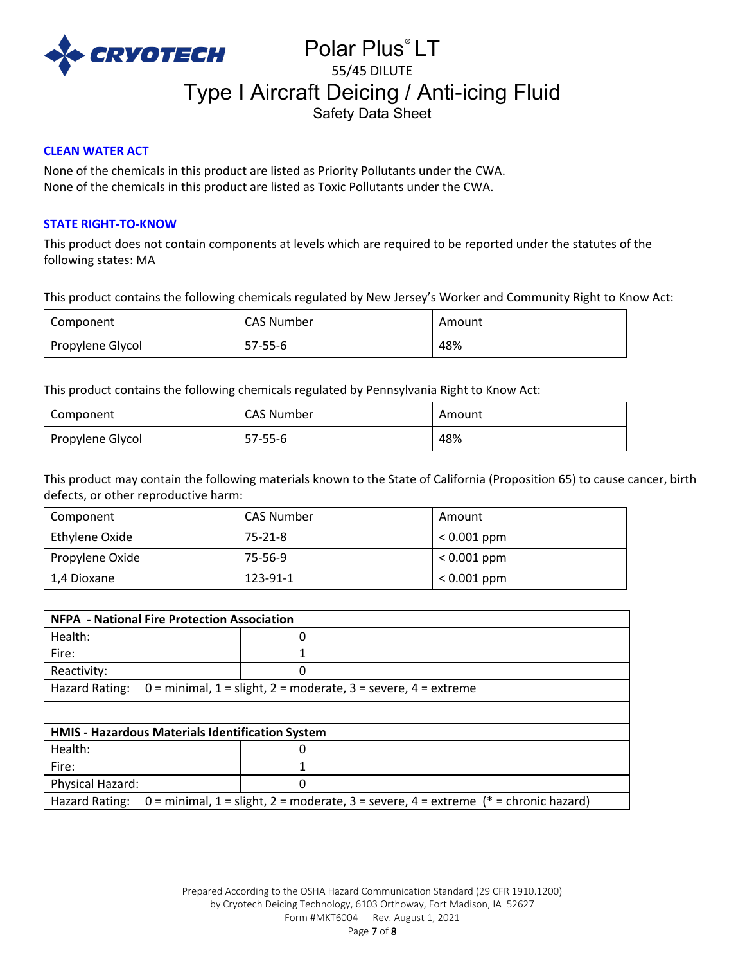

# Polar Plus® LT 55/45 DILUTE Type I Aircraft Deicing / Anti-icing Fluid Safety Data Sheet

# **CLEAN WATER ACT**

None of the chemicals in this product are listed as Priority Pollutants under the CWA. None of the chemicals in this product are listed as Toxic Pollutants under the CWA.

# **STATE RIGHT-TO-KNOW**

This product does not contain components at levels which are required to be reported under the statutes of the following states: MA

This product contains the following chemicals regulated by New Jersey's Worker and Community Right to Know Act:

| Component        | CAS Number | Amount |
|------------------|------------|--------|
| Propylene Glycol | 57-55-6    | 48%    |

This product contains the following chemicals regulated by Pennsylvania Right to Know Act:

| Component        | CAS Number    | Amount |
|------------------|---------------|--------|
| Propylene Glycol | $57 - 55 - 6$ | 48%    |

This product may contain the following materials known to the State of California (Proposition 65) to cause cancer, birth defects, or other reproductive harm:

| Component       | CAS Number | Amount        |
|-----------------|------------|---------------|
| Ethylene Oxide  | 75-21-8    | $< 0.001$ ppm |
| Propylene Oxide | 75-56-9    | $< 0.001$ ppm |
| 1,4 Dioxane     | 123-91-1   | $< 0.001$ ppm |

| <b>NFPA - National Fire Protection Association</b>                                                       |   |  |
|----------------------------------------------------------------------------------------------------------|---|--|
| Health:                                                                                                  | 0 |  |
| Fire:                                                                                                    |   |  |
| Reactivity:                                                                                              |   |  |
| Hazard Rating:<br>$0 =$ minimal, $1 =$ slight, $2 =$ moderate, $3 =$ severe, $4 =$ extreme               |   |  |
|                                                                                                          |   |  |
| <b>HMIS - Hazardous Materials Identification System</b>                                                  |   |  |
| Health:                                                                                                  | 0 |  |
| Fire:                                                                                                    |   |  |
| Physical Hazard:                                                                                         | 0 |  |
| 0 = minimal, 1 = slight, 2 = moderate, 3 = severe, 4 = extreme ( $*$ = chronic hazard)<br>Hazard Rating: |   |  |